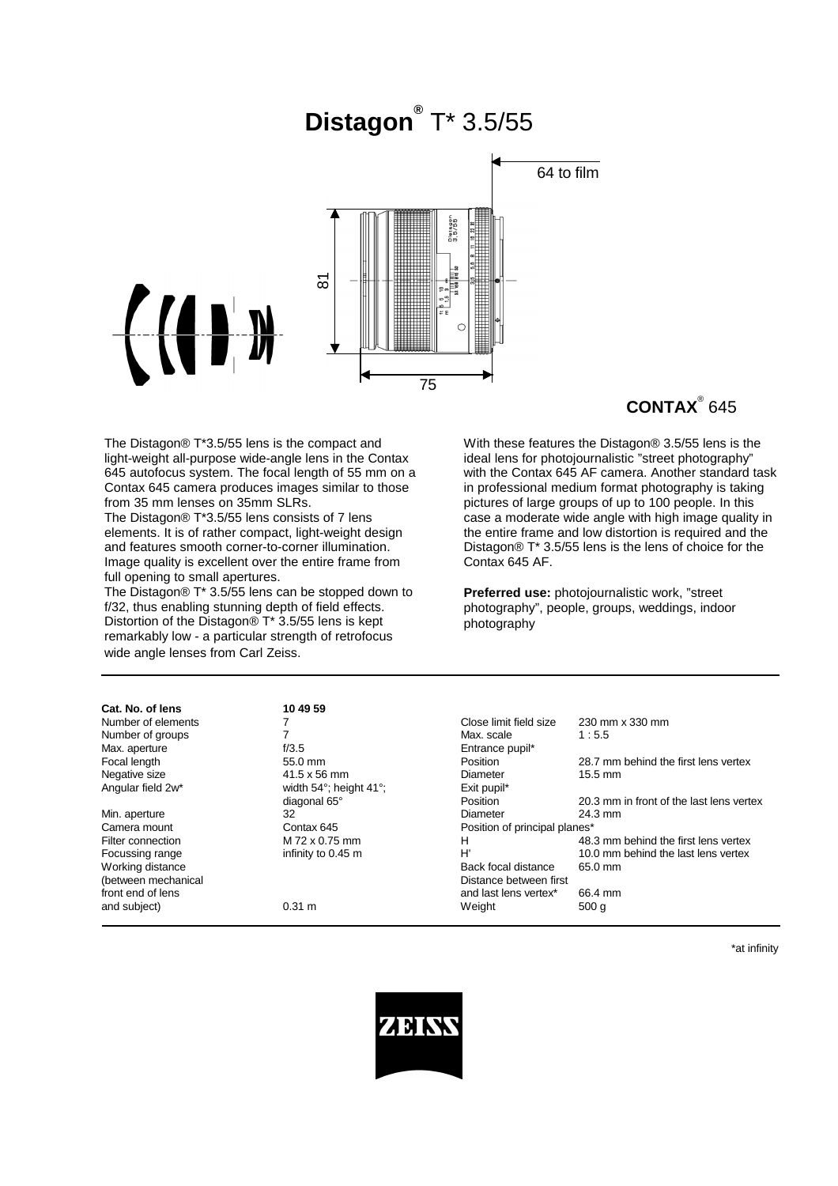# **Distagon®** T\* 3.5/55



## **CONTAX**® 645

The Distagon® T\*3.5/55 lens is the compact and light-weight all-purpose wide-angle lens in the Contax 645 autofocus system. The focal length of 55 mm on a Contax 645 camera produces images similar to those from 35 mm lenses on 35mm SLRs.

The Distagon® T\*3.5/55 lens consists of 7 lens elements. It is of rather compact, light-weight design and features smooth corner-to-corner illumination. Image quality is excellent over the entire frame from full opening to small apertures.

The Distagon® T\* 3.5/55 lens can be stopped down to f/32, thus enabling stunning depth of field effects. Distortion of the Distagon® T\* 3.5/55 lens is kept remarkably low - a particular strength of retrofocus wide angle lenses from Carl Zeiss.

With these features the Distagon® 3.5/55 lens is the ideal lens for photojournalistic "street photography" with the Contax 645 AF camera. Another standard task in professional medium format photography is taking pictures of large groups of up to 100 people. In this case a moderate wide angle with high image quality in the entire frame and low distortion is required and the Distagon® T\* 3.5/55 lens is the lens of choice for the Contax 645 AF.

**Preferred use:** photojournalistic work, "street photography", people, groups, weddings, indoor photography

| Cat. No. of lens    | 10 49 59                               |                               |                                          |
|---------------------|----------------------------------------|-------------------------------|------------------------------------------|
| Number of elements  |                                        | Close limit field size        | 230 mm x 330 mm                          |
| Number of groups    |                                        | Max. scale                    | 1:5.5                                    |
| Max. aperture       | f/3.5                                  | Entrance pupil*               |                                          |
| Focal length        | $55.0$ mm                              | Position                      | 28.7 mm behind the first lens vertex     |
| Negative size       | $41.5 \times 56$ mm                    | Diameter                      | $15.5 \text{ mm}$                        |
| Angular field 2w*   | width $54^\circ$ ; height $41^\circ$ ; | Exit pupil*                   |                                          |
|                     | diagonal 65°                           | Position                      | 20.3 mm in front of the last lens vertex |
| Min. aperture       | 32                                     | Diameter                      | 24.3 mm                                  |
| Camera mount        | Contax 645                             | Position of principal planes* |                                          |
| Filter connection   | M 72 x 0.75 mm                         | н                             | 48.3 mm behind the first lens vertex     |
| Focussing range     | infinity to 0.45 m                     | H'                            | 10.0 mm behind the last lens vertex      |
| Working distance    |                                        | Back focal distance           | 65.0 mm                                  |
| (between mechanical |                                        | Distance between first        |                                          |
| front end of lens   |                                        | and last lens vertex*         | 66.4 mm                                  |
| and subject)        | $0.31 \text{ m}$                       | Weight                        | 500q                                     |

\*at infinity